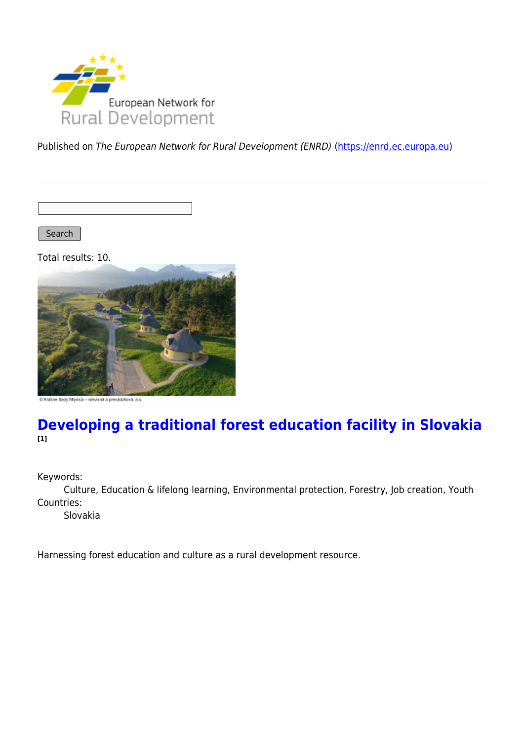

Published on The European Network for Rural Development (ENRD) [\(https://enrd.ec.europa.eu](https://enrd.ec.europa.eu))

Search

Total results: 10.



ásne Sady Mlynica - servisná a prevádzková, a.s.

### **[Developing a traditional forest education facility in Slovakia](https://enrd.ec.europa.eu/projects-practice/developing-traditional-forest-education-facility-slovakia_en) [1]**

Keywords:

Culture, Education & lifelong learning, Environmental protection, Forestry, Job creation, Youth Countries:

Slovakia

Harnessing forest education and culture as a rural development resource.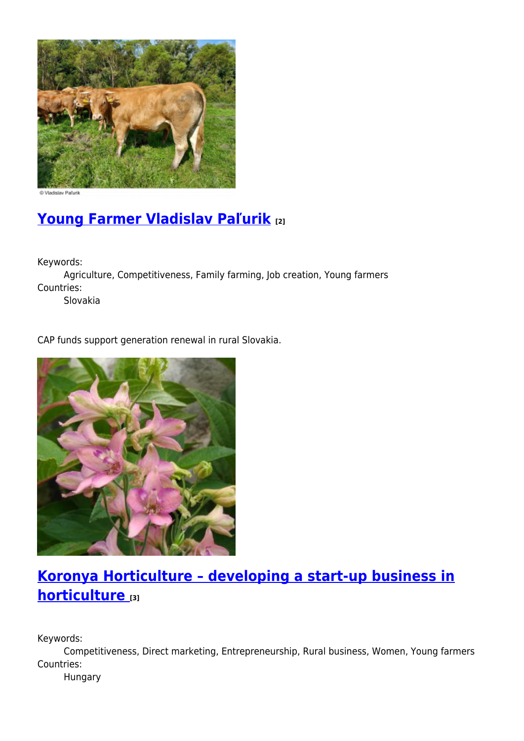

D Vladislav Paľuril

# **[Young Farmer Vladislav Paľurik](https://enrd.ec.europa.eu/projects-practice/young-farmer-vladislav-palurik_en) [2]**

Keywords:

Agriculture, Competitiveness, Family farming, Job creation, Young farmers Countries:

Slovakia

CAP funds support generation renewal in rural Slovakia.



# **[Koronya Horticulture – developing a start-up business in](https://enrd.ec.europa.eu/projects-practice/koronya-horticulture-developing-start-business-horticulture_en) [horticulture](https://enrd.ec.europa.eu/projects-practice/koronya-horticulture-developing-start-business-horticulture_en) [3]**

Keywords:

Competitiveness, Direct marketing, Entrepreneurship, Rural business, Women, Young farmers Countries:

Hungary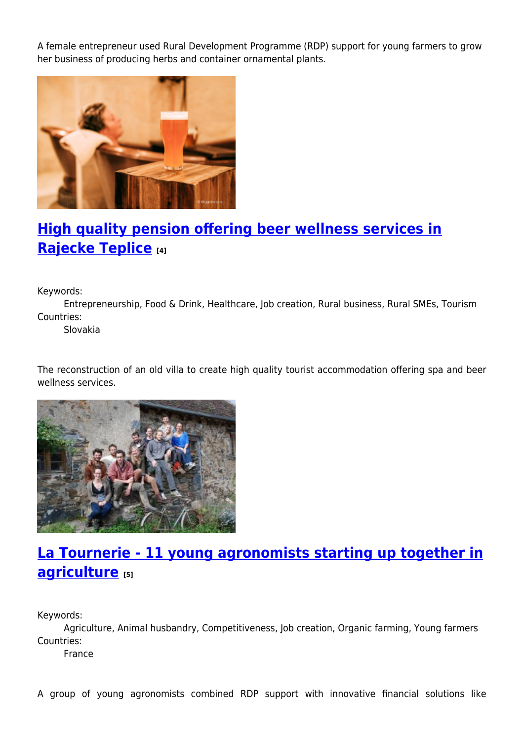A female entrepreneur used Rural Development Programme (RDP) support for young farmers to grow her business of producing herbs and container ornamental plants.



# **[High quality pension offering beer wellness services in](https://enrd.ec.europa.eu/projects-practice/high-quality-pension-offering-beer-wellness-services-rajecke-teplice_en) [Rajecke Teplice](https://enrd.ec.europa.eu/projects-practice/high-quality-pension-offering-beer-wellness-services-rajecke-teplice_en) [4]**

Keywords:

Entrepreneurship, Food & Drink, Healthcare, Job creation, Rural business, Rural SMEs, Tourism Countries:

Slovakia

The reconstruction of an old villa to create high quality tourist accommodation offering spa and beer wellness services.



## **[La Tournerie - 11 young agronomists starting up together in](https://enrd.ec.europa.eu/projects-practice/la-tournerie-11-young-agronomists-starting-together-agriculture_en) [agriculture](https://enrd.ec.europa.eu/projects-practice/la-tournerie-11-young-agronomists-starting-together-agriculture_en) [5]**

Keywords:

Agriculture, Animal husbandry, Competitiveness, Job creation, Organic farming, Young farmers Countries:

France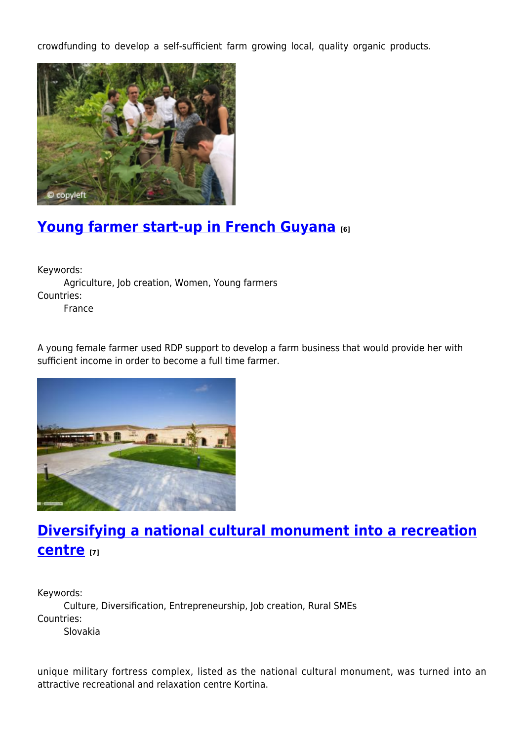crowdfunding to develop a self-sufficient farm growing local, quality organic products.



# **[Young farmer start-up in French Guyana](https://enrd.ec.europa.eu/projects-practice/young-farmer-start-french-guyana_en) [6]**

Keywords: Agriculture, Job creation, Women, Young farmers Countries: France

A young female farmer used RDP support to develop a farm business that would provide her with sufficient income in order to become a full time farmer.



## **[Diversifying a national cultural monument into a recreation](https://enrd.ec.europa.eu/projects-practice/diversifying-national-cultural-monument-recreation-centre_en) [centre](https://enrd.ec.europa.eu/projects-practice/diversifying-national-cultural-monument-recreation-centre_en) [7]**

Keywords:

Culture, Diversification, Entrepreneurship, Job creation, Rural SMEs Countries:

Slovakia

unique military fortress complex, listed as the national cultural monument, was turned into an attractive recreational and relaxation centre Kortina.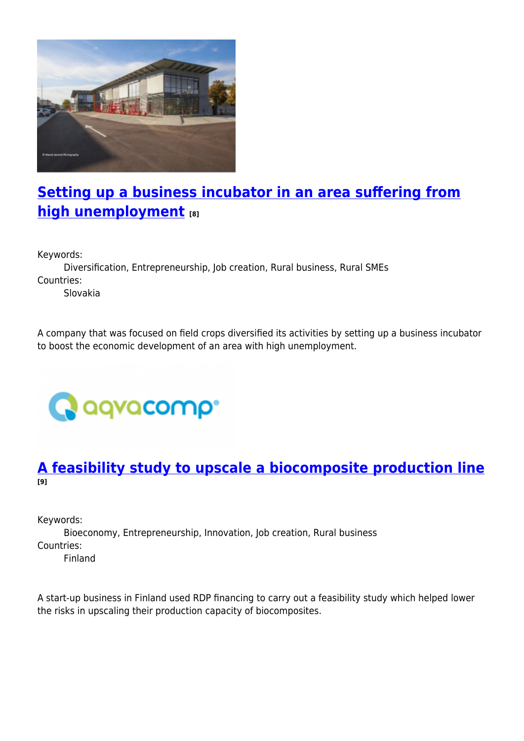

# **[Setting up a business incubator in an area suffering from](https://enrd.ec.europa.eu/projects-practice/setting-business-incubator-area-suffering-high-unemployment_en) [high unemployment](https://enrd.ec.europa.eu/projects-practice/setting-business-incubator-area-suffering-high-unemployment_en) [8]**

Keywords:

Diversification, Entrepreneurship, Job creation, Rural business, Rural SMEs Countries:

Slovakia

A company that was focused on field crops diversified its activities by setting up a business incubator to boost the economic development of an area with high unemployment.



### **[A feasibility study to upscale a biocomposite production line](https://enrd.ec.europa.eu/projects-practice/feasibility-study-upscale-biocomposite-production-line_en) [9]**

Keywords:

Bioeconomy, Entrepreneurship, Innovation, Job creation, Rural business Countries:

Finland

A start-up business in Finland used RDP financing to carry out a feasibility study which helped lower the risks in upscaling their production capacity of biocomposites.